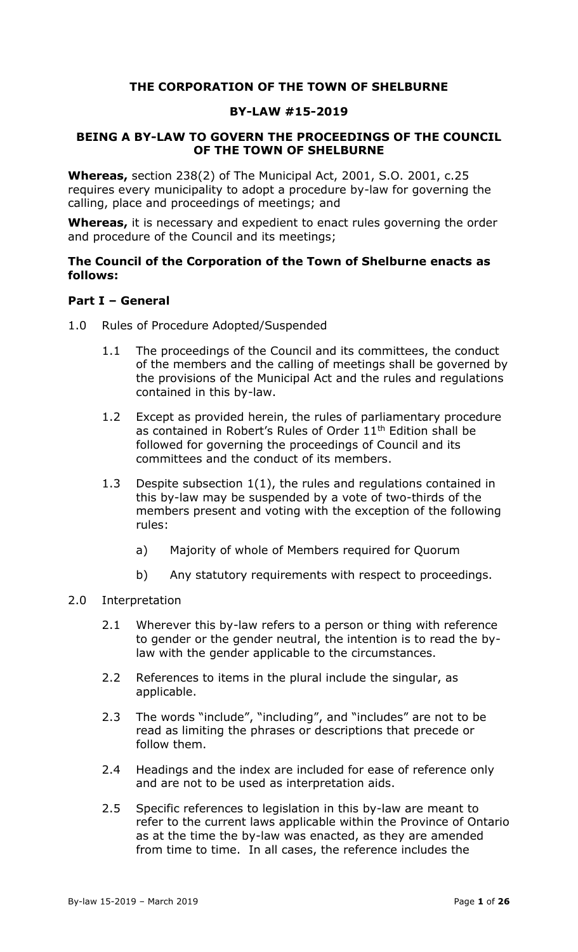### **THE CORPORATION OF THE TOWN OF SHELBURNE**

### **BY-LAW #15-2019**

### <span id="page-0-1"></span><span id="page-0-0"></span>**BEING A BY-LAW TO GOVERN THE PROCEEDINGS OF THE COUNCIL OF THE TOWN OF SHELBURNE**

**Whereas,** section 238(2) of The Municipal Act, 2001, S.O. 2001, c.25 requires every municipality to adopt a procedure by-law for governing the calling, place and proceedings of meetings; and

**Whereas,** it is necessary and expedient to enact rules governing the order and procedure of the Council and its meetings;

#### **The Council of the Corporation of the Town of Shelburne enacts as follows:**

#### <span id="page-0-2"></span>**Part I – General**

- <span id="page-0-3"></span>1.0 Rules of Procedure Adopted/Suspended
	- 1.1 The proceedings of the Council and its committees, the conduct of the members and the calling of meetings shall be governed by the provisions of the Municipal Act and the rules and regulations contained in this by-law.
	- 1.2 Except as provided herein, the rules of parliamentary procedure as contained in Robert's Rules of Order 11<sup>th</sup> Edition shall be followed for governing the proceedings of Council and its committees and the conduct of its members.
	- 1.3 Despite subsection 1(1), the rules and regulations contained in this by-law may be suspended by a vote of two-thirds of the members present and voting with the exception of the following rules:
		- a) Majority of whole of Members required for Quorum
		- b) Any statutory requirements with respect to proceedings.

#### <span id="page-0-4"></span>2.0 Interpretation

- 2.1 Wherever this by-law refers to a person or thing with reference to gender or the gender neutral, the intention is to read the bylaw with the gender applicable to the circumstances.
- 2.2 References to items in the plural include the singular, as applicable.
- 2.3 The words "include", "including", and "includes" are not to be read as limiting the phrases or descriptions that precede or follow them.
- 2.4 Headings and the index are included for ease of reference only and are not to be used as interpretation aids.
- 2.5 Specific references to legislation in this by-law are meant to refer to the current laws applicable within the Province of Ontario as at the time the by-law was enacted, as they are amended from time to time. In all cases, the reference includes the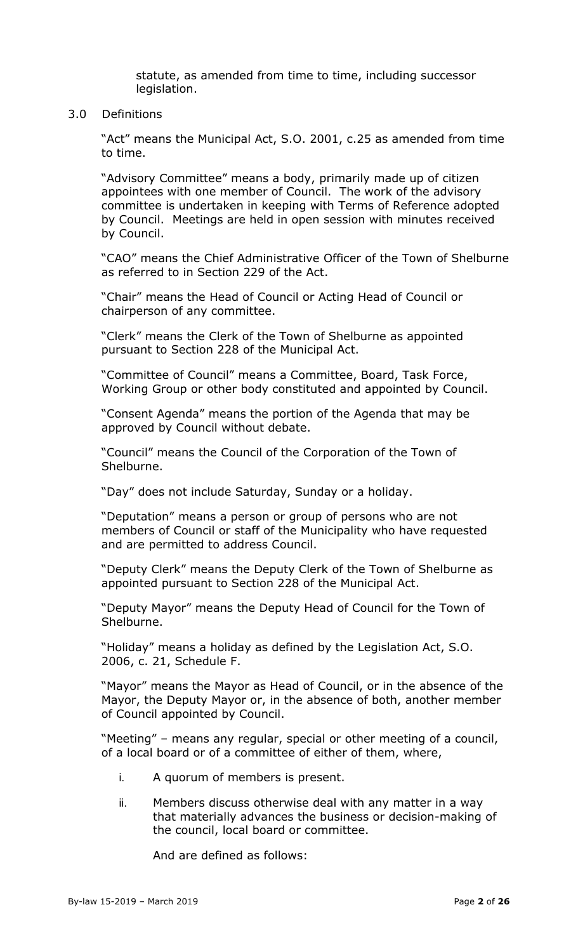statute, as amended from time to time, including successor legislation.

#### <span id="page-1-0"></span>3.0 Definitions

"Act" means the Municipal Act, S.O. 2001, c.25 as amended from time to time.

"Advisory Committee" means a body, primarily made up of citizen appointees with one member of Council. The work of the advisory committee is undertaken in keeping with Terms of Reference adopted by Council. Meetings are held in open session with minutes received by Council.

"CAO" means the Chief Administrative Officer of the Town of Shelburne as referred to in Section 229 of the Act.

"Chair" means the Head of Council or Acting Head of Council or chairperson of any committee.

"Clerk" means the Clerk of the Town of Shelburne as appointed pursuant to Section 228 of the Municipal Act.

"Committee of Council" means a Committee, Board, Task Force, Working Group or other body constituted and appointed by Council.

"Consent Agenda" means the portion of the Agenda that may be approved by Council without debate.

"Council" means the Council of the Corporation of the Town of Shelburne.

"Day" does not include Saturday, Sunday or a holiday.

"Deputation" means a person or group of persons who are not members of Council or staff of the Municipality who have requested and are permitted to address Council.

"Deputy Clerk" means the Deputy Clerk of the Town of Shelburne as appointed pursuant to Section 228 of the Municipal Act.

"Deputy Mayor" means the Deputy Head of Council for the Town of Shelburne.

"Holiday" means a holiday as defined by the Legislation Act, S.O. 2006, c. 21, Schedule F.

"Mayor" means the Mayor as Head of Council, or in the absence of the Mayor, the Deputy Mayor or, in the absence of both, another member of Council appointed by Council.

"Meeting" – means any regular, special or other meeting of a council, of a local board or of a committee of either of them, where,

- i. A quorum of members is present.
- ii. Members discuss otherwise deal with any matter in a way that materially advances the business or decision-making of the council, local board or committee.

And are defined as follows: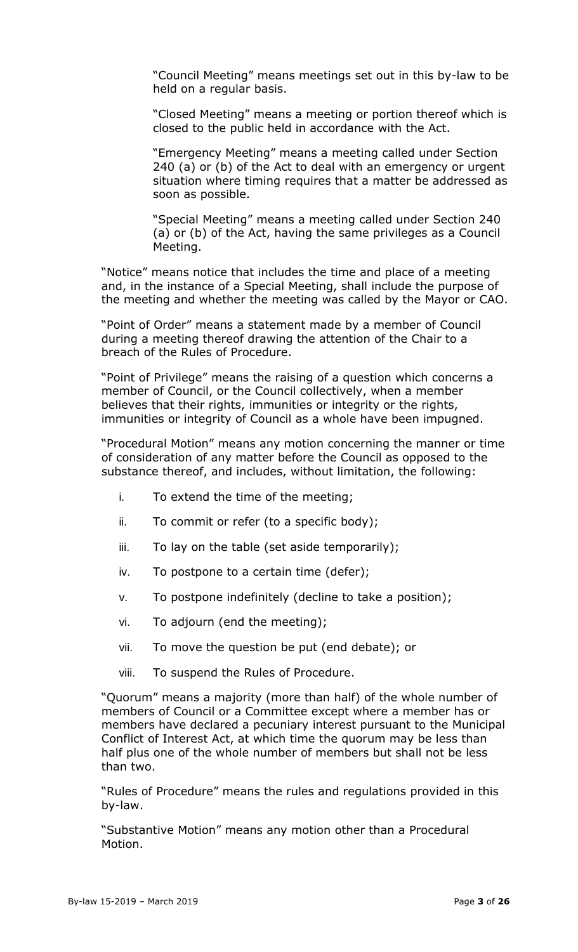"Council Meeting" means meetings set out in this by-law to be held on a regular basis.

"Closed Meeting" means a meeting or portion thereof which is closed to the public held in accordance with the Act.

"Emergency Meeting" means a meeting called under Section 240 (a) or (b) of the Act to deal with an emergency or urgent situation where timing requires that a matter be addressed as soon as possible.

"Special Meeting" means a meeting called under Section 240 (a) or (b) of the Act, having the same privileges as a Council Meeting.

"Notice" means notice that includes the time and place of a meeting and, in the instance of a Special Meeting, shall include the purpose of the meeting and whether the meeting was called by the Mayor or CAO.

"Point of Order" means a statement made by a member of Council during a meeting thereof drawing the attention of the Chair to a breach of the Rules of Procedure.

"Point of Privilege" means the raising of a question which concerns a member of Council, or the Council collectively, when a member believes that their rights, immunities or integrity or the rights, immunities or integrity of Council as a whole have been impugned.

"Procedural Motion" means any motion concerning the manner or time of consideration of any matter before the Council as opposed to the substance thereof, and includes, without limitation, the following:

- i. To extend the time of the meeting;
- ii. To commit or refer (to a specific body);
- iii. To lay on the table (set aside temporarily);
- iv. To postpone to a certain time (defer);
- v. To postpone indefinitely (decline to take a position);
- vi. To adjourn (end the meeting);
- vii. To move the question be put (end debate); or
- viii. To suspend the Rules of Procedure.

"Quorum" means a majority (more than half) of the whole number of members of Council or a Committee except where a member has or members have declared a pecuniary interest pursuant to the Municipal Conflict of Interest Act, at which time the quorum may be less than half plus one of the whole number of members but shall not be less than two.

"Rules of Procedure" means the rules and regulations provided in this by-law.

"Substantive Motion" means any motion other than a Procedural Motion.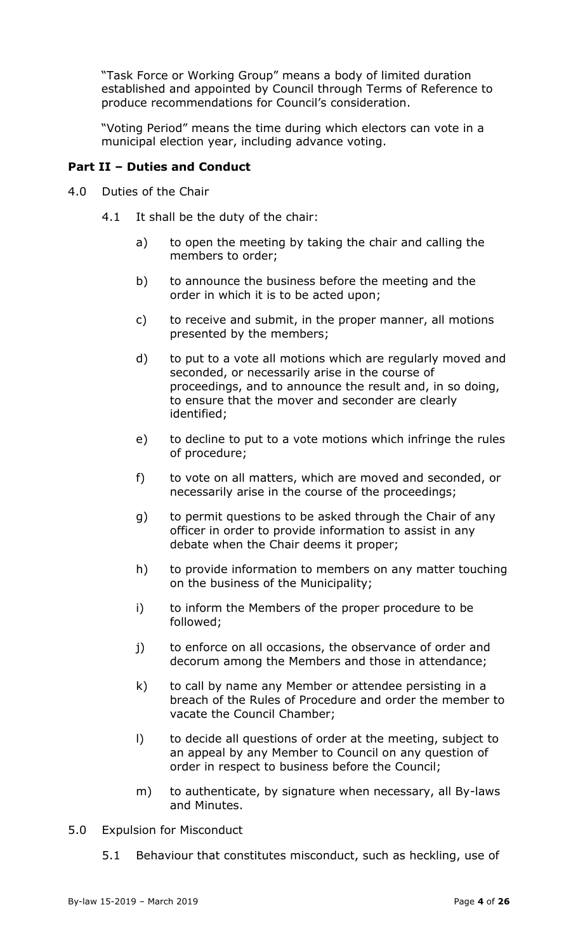"Task Force or Working Group" means a body of limited duration established and appointed by Council through Terms of Reference to produce recommendations for Council's consideration.

"Voting Period" means the time during which electors can vote in a municipal election year, including advance voting.

# <span id="page-3-0"></span>**Part II – Duties and Conduct**

- <span id="page-3-1"></span>4.0 Duties of the Chair
	- 4.1 It shall be the duty of the chair:
		- a) to open the meeting by taking the chair and calling the members to order;
		- b) to announce the business before the meeting and the order in which it is to be acted upon;
		- c) to receive and submit, in the proper manner, all motions presented by the members;
		- d) to put to a vote all motions which are regularly moved and seconded, or necessarily arise in the course of proceedings, and to announce the result and, in so doing, to ensure that the mover and seconder are clearly identified;
		- e) to decline to put to a vote motions which infringe the rules of procedure;
		- f) to vote on all matters, which are moved and seconded, or necessarily arise in the course of the proceedings;
		- g) to permit questions to be asked through the Chair of any officer in order to provide information to assist in any debate when the Chair deems it proper;
		- h) to provide information to members on any matter touching on the business of the Municipality;
		- i) to inform the Members of the proper procedure to be followed;
		- j) to enforce on all occasions, the observance of order and decorum among the Members and those in attendance;
		- k) to call by name any Member or attendee persisting in a breach of the Rules of Procedure and order the member to vacate the Council Chamber;
		- l) to decide all questions of order at the meeting, subject to an appeal by any Member to Council on any question of order in respect to business before the Council;
		- m) to authenticate, by signature when necessary, all By-laws and Minutes.
- <span id="page-3-2"></span>5.0 Expulsion for Misconduct
	- 5.1 Behaviour that constitutes misconduct, such as heckling, use of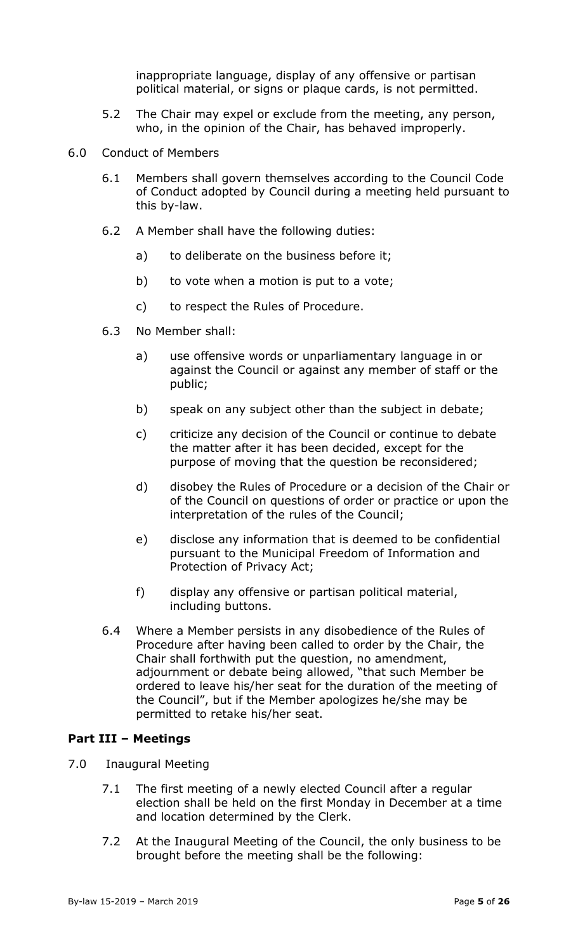inappropriate language, display of any offensive or partisan political material, or signs or plaque cards, is not permitted.

- 5.2 The Chair may expel or exclude from the meeting, any person, who, in the opinion of the Chair, has behaved improperly.
- <span id="page-4-0"></span>6.0 Conduct of Members
	- 6.1 Members shall govern themselves according to the Council Code of Conduct adopted by Council during a meeting held pursuant to this by-law.
	- 6.2 A Member shall have the following duties:
		- a) to deliberate on the business before it;
		- b) to vote when a motion is put to a vote;
		- c) to respect the Rules of Procedure.
	- 6.3 No Member shall:
		- a) use offensive words or unparliamentary language in or against the Council or against any member of staff or the public;
		- b) speak on any subject other than the subject in debate;
		- c) criticize any decision of the Council or continue to debate the matter after it has been decided, except for the purpose of moving that the question be reconsidered;
		- d) disobey the Rules of Procedure or a decision of the Chair or of the Council on questions of order or practice or upon the interpretation of the rules of the Council;
		- e) disclose any information that is deemed to be confidential pursuant to the Municipal Freedom of Information and Protection of Privacy Act;
		- f) display any offensive or partisan political material, including buttons.
	- 6.4 Where a Member persists in any disobedience of the Rules of Procedure after having been called to order by the Chair, the Chair shall forthwith put the question, no amendment, adjournment or debate being allowed, "that such Member be ordered to leave his/her seat for the duration of the meeting of the Council", but if the Member apologizes he/she may be permitted to retake his/her seat.

### <span id="page-4-1"></span>**Part III – Meetings**

- <span id="page-4-2"></span>7.0 Inaugural Meeting
	- 7.1 The first meeting of a newly elected Council after a regular election shall be held on the first Monday in December at a time and location determined by the Clerk.
	- 7.2 At the Inaugural Meeting of the Council, the only business to be brought before the meeting shall be the following: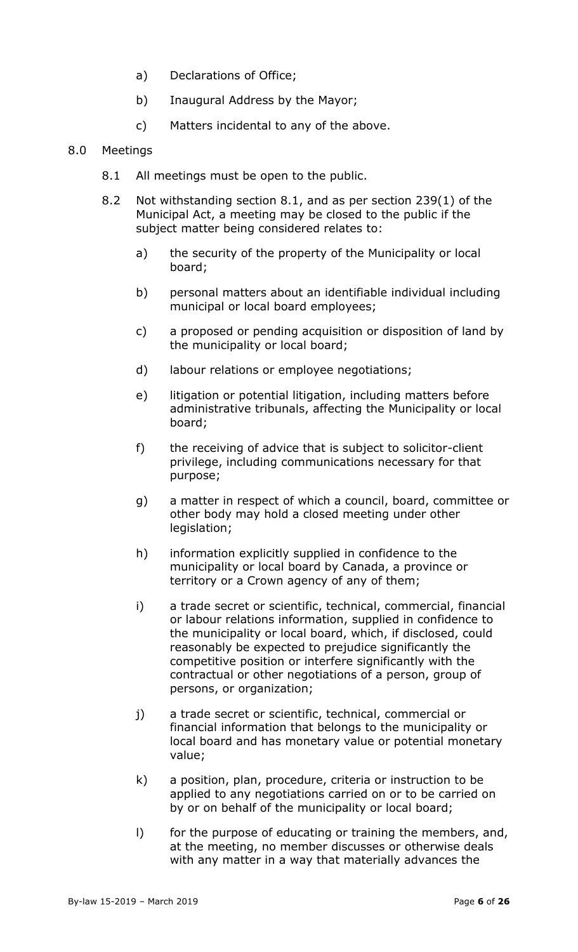- a) Declarations of Office;
- b) Inaugural Address by the Mayor;
- c) Matters incidental to any of the above.

#### <span id="page-5-0"></span>8.0 Meetings

- 8.1 All meetings must be open to the public.
- 8.2 Not withstanding section 8.1, and as per section 239(1) of the Municipal Act, a meeting may be closed to the public if the subject matter being considered relates to:
	- a) the security of the property of the Municipality or local board;
	- b) personal matters about an identifiable individual including municipal or local board employees;
	- c) a proposed or pending acquisition or disposition of land by the municipality or local board;
	- d) labour relations or employee negotiations;
	- e) litigation or potential litigation, including matters before administrative tribunals, affecting the Municipality or local board;
	- f) the receiving of advice that is subject to solicitor-client privilege, including communications necessary for that purpose;
	- g) a matter in respect of which a council, board, committee or other body may hold a closed meeting under other legislation;
	- h) information explicitly supplied in confidence to the municipality or local board by Canada, a province or territory or a Crown agency of any of them;
	- i) a trade secret or scientific, technical, commercial, financial or labour relations information, supplied in confidence to the municipality or local board, which, if disclosed, could reasonably be expected to prejudice significantly the competitive position or interfere significantly with the contractual or other negotiations of a person, group of persons, or organization;
	- j) a trade secret or scientific, technical, commercial or financial information that belongs to the municipality or local board and has monetary value or potential monetary value;
	- k) a position, plan, procedure, criteria or instruction to be applied to any negotiations carried on or to be carried on by or on behalf of the municipality or local board;
	- l) for the purpose of educating or training the members, and, at the meeting, no member discusses or otherwise deals with any matter in a way that materially advances the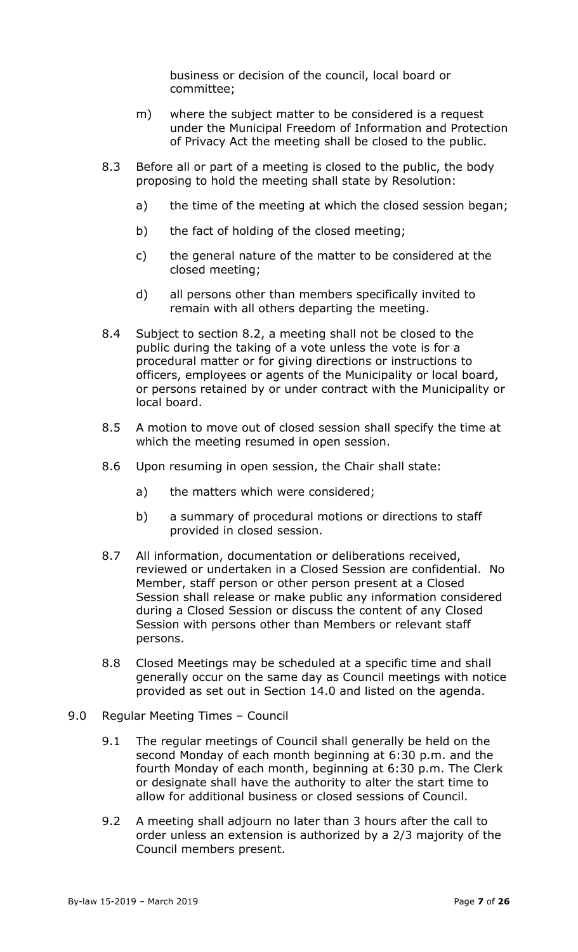business or decision of the council, local board or committee;

- m) where the subject matter to be considered is a request under the Municipal Freedom of Information and Protection of Privacy Act the meeting shall be closed to the public.
- 8.3 Before all or part of a meeting is closed to the public, the body proposing to hold the meeting shall state by Resolution:
	- a) the time of the meeting at which the closed session began;
	- b) the fact of holding of the closed meeting;
	- c) the general nature of the matter to be considered at the closed meeting;
	- d) all persons other than members specifically invited to remain with all others departing the meeting.
- 8.4 Subject to section 8.2, a meeting shall not be closed to the public during the taking of a vote unless the vote is for a procedural matter or for giving directions or instructions to officers, employees or agents of the Municipality or local board, or persons retained by or under contract with the Municipality or local board.
- 8.5 A motion to move out of closed session shall specify the time at which the meeting resumed in open session.
- 8.6 Upon resuming in open session, the Chair shall state:
	- a) the matters which were considered;
	- b) a summary of procedural motions or directions to staff provided in closed session.
- 8.7 All information, documentation or deliberations received, reviewed or undertaken in a Closed Session are confidential. No Member, staff person or other person present at a Closed Session shall release or make public any information considered during a Closed Session or discuss the content of any Closed Session with persons other than Members or relevant staff persons.
- 8.8 Closed Meetings may be scheduled at a specific time and shall generally occur on the same day as Council meetings with notice provided as set out in Section 14.0 and listed on the agenda.
- <span id="page-6-0"></span>9.0 Regular Meeting Times – Council
	- 9.1 The regular meetings of Council shall generally be held on the second Monday of each month beginning at 6:30 p.m. and the fourth Monday of each month, beginning at 6:30 p.m. The Clerk or designate shall have the authority to alter the start time to allow for additional business or closed sessions of Council.
	- 9.2 A meeting shall adjourn no later than 3 hours after the call to order unless an extension is authorized by a 2/3 majority of the Council members present.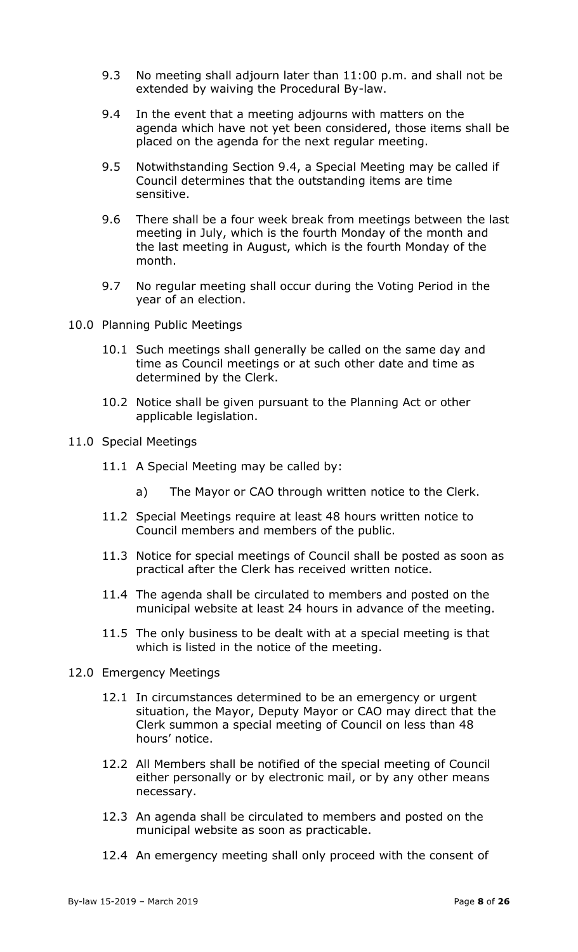- 9.3 No meeting shall adjourn later than 11:00 p.m. and shall not be extended by waiving the Procedural By-law.
- 9.4 In the event that a meeting adjourns with matters on the agenda which have not yet been considered, those items shall be placed on the agenda for the next regular meeting.
- 9.5 Notwithstanding Section 9.4, a Special Meeting may be called if Council determines that the outstanding items are time sensitive.
- 9.6 There shall be a four week break from meetings between the last meeting in July, which is the fourth Monday of the month and the last meeting in August, which is the fourth Monday of the month.
- 9.7 No regular meeting shall occur during the Voting Period in the year of an election.
- <span id="page-7-0"></span>10.0 Planning Public Meetings
	- 10.1 Such meetings shall generally be called on the same day and time as Council meetings or at such other date and time as determined by the Clerk.
	- 10.2 Notice shall be given pursuant to the Planning Act or other applicable legislation.
- <span id="page-7-1"></span>11.0 Special Meetings
	- 11.1 A Special Meeting may be called by:
		- a) The Mayor or CAO through written notice to the Clerk.
	- 11.2 Special Meetings require at least 48 hours written notice to Council members and members of the public.
	- 11.3 Notice for special meetings of Council shall be posted as soon as practical after the Clerk has received written notice.
	- 11.4 The agenda shall be circulated to members and posted on the municipal website at least 24 hours in advance of the meeting.
	- 11.5 The only business to be dealt with at a special meeting is that which is listed in the notice of the meeting.
- <span id="page-7-2"></span>12.0 Emergency Meetings
	- 12.1 In circumstances determined to be an emergency or urgent situation, the Mayor, Deputy Mayor or CAO may direct that the Clerk summon a special meeting of Council on less than 48 hours' notice.
	- 12.2 All Members shall be notified of the special meeting of Council either personally or by electronic mail, or by any other means necessary.
	- 12.3 An agenda shall be circulated to members and posted on the municipal website as soon as practicable.
	- 12.4 An emergency meeting shall only proceed with the consent of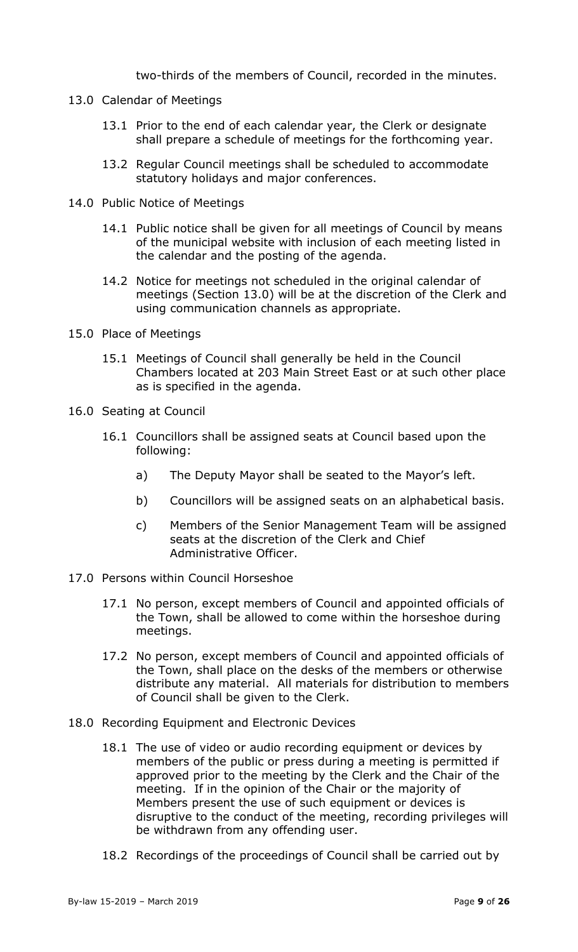two-thirds of the members of Council, recorded in the minutes.

- <span id="page-8-0"></span>13.0 Calendar of Meetings
	- 13.1 Prior to the end of each calendar year, the Clerk or designate shall prepare a schedule of meetings for the forthcoming year.
	- 13.2 Regular Council meetings shall be scheduled to accommodate statutory holidays and major conferences.
- <span id="page-8-1"></span>14.0 Public Notice of Meetings
	- 14.1 Public notice shall be given for all meetings of Council by means of the municipal website with inclusion of each meeting listed in the calendar and the posting of the agenda.
	- 14.2 Notice for meetings not scheduled in the original calendar of meetings (Section 13.0) will be at the discretion of the Clerk and using communication channels as appropriate.
- <span id="page-8-2"></span>15.0 Place of Meetings
	- 15.1 Meetings of Council shall generally be held in the Council Chambers located at 203 Main Street East or at such other place as is specified in the agenda.
- <span id="page-8-3"></span>16.0 Seating at Council
	- 16.1 Councillors shall be assigned seats at Council based upon the following:
		- a) The Deputy Mayor shall be seated to the Mayor's left.
		- b) Councillors will be assigned seats on an alphabetical basis.
		- c) Members of the Senior Management Team will be assigned seats at the discretion of the Clerk and Chief Administrative Officer.
- <span id="page-8-4"></span>17.0 Persons within Council Horseshoe
	- 17.1 No person, except members of Council and appointed officials of the Town, shall be allowed to come within the horseshoe during meetings.
	- 17.2 No person, except members of Council and appointed officials of the Town, shall place on the desks of the members or otherwise distribute any material. All materials for distribution to members of Council shall be given to the Clerk.
- <span id="page-8-5"></span>18.0 Recording Equipment and Electronic Devices
	- 18.1 The use of video or audio recording equipment or devices by members of the public or press during a meeting is permitted if approved prior to the meeting by the Clerk and the Chair of the meeting. If in the opinion of the Chair or the majority of Members present the use of such equipment or devices is disruptive to the conduct of the meeting, recording privileges will be withdrawn from any offending user.
	- 18.2 Recordings of the proceedings of Council shall be carried out by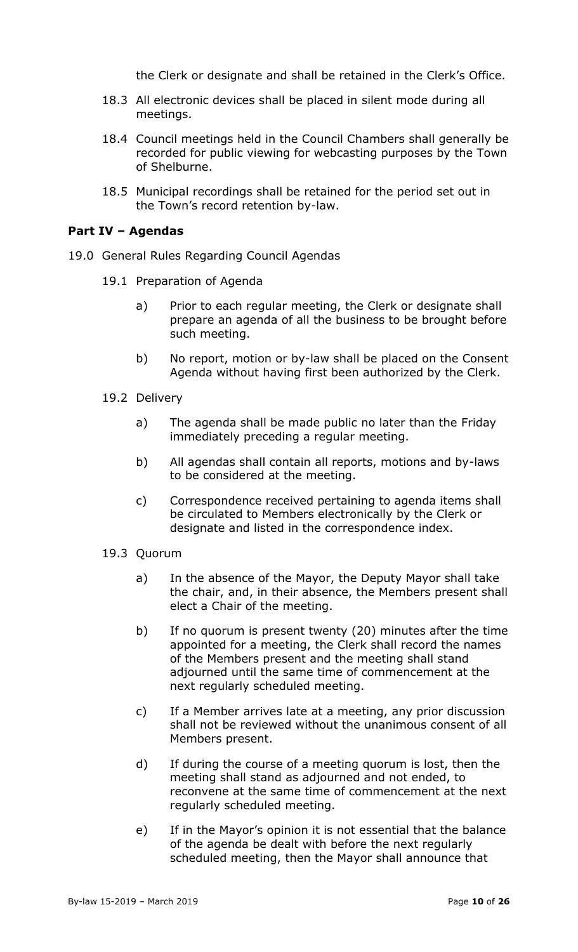the Clerk or designate and shall be retained in the Clerk's Office.

- 18.3 All electronic devices shall be placed in silent mode during all meetings.
- 18.4 Council meetings held in the Council Chambers shall generally be recorded for public viewing for webcasting purposes by the Town of Shelburne.
- 18.5 Municipal recordings shall be retained for the period set out in the Town's record retention by-law.

#### <span id="page-9-0"></span>**Part IV – Agendas**

- <span id="page-9-1"></span>19.0 General Rules Regarding Council Agendas
	- 19.1 Preparation of Agenda
		- a) Prior to each regular meeting, the Clerk or designate shall prepare an agenda of all the business to be brought before such meeting.
		- b) No report, motion or by-law shall be placed on the Consent Agenda without having first been authorized by the Clerk.
	- 19.2 Delivery
		- a) The agenda shall be made public no later than the Friday immediately preceding a regular meeting.
		- b) All agendas shall contain all reports, motions and by-laws to be considered at the meeting.
		- c) Correspondence received pertaining to agenda items shall be circulated to Members electronically by the Clerk or designate and listed in the correspondence index.
	- 19.3 Quorum
		- a) In the absence of the Mayor, the Deputy Mayor shall take the chair, and, in their absence, the Members present shall elect a Chair of the meeting.
		- b) If no quorum is present twenty (20) minutes after the time appointed for a meeting, the Clerk shall record the names of the Members present and the meeting shall stand adjourned until the same time of commencement at the next regularly scheduled meeting.
		- c) If a Member arrives late at a meeting, any prior discussion shall not be reviewed without the unanimous consent of all Members present.
		- d) If during the course of a meeting quorum is lost, then the meeting shall stand as adjourned and not ended, to reconvene at the same time of commencement at the next regularly scheduled meeting.
		- e) If in the Mayor's opinion it is not essential that the balance of the agenda be dealt with before the next regularly scheduled meeting, then the Mayor shall announce that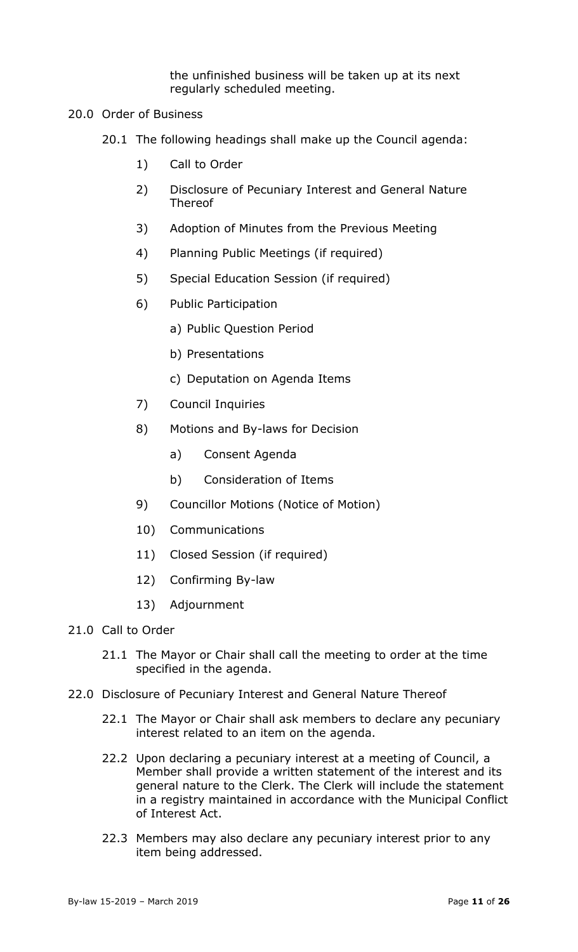the unfinished business will be taken up at its next regularly scheduled meeting.

- <span id="page-10-0"></span>20.0 Order of Business
	- 20.1 The following headings shall make up the Council agenda:
		- 1) Call to Order
		- 2) Disclosure of Pecuniary Interest and General Nature Thereof
		- 3) Adoption of Minutes from the Previous Meeting
		- 4) Planning Public Meetings (if required)
		- 5) Special Education Session (if required)
		- 6) Public Participation
			- a) Public Question Period
			- b) Presentations
			- c) Deputation on Agenda Items
		- 7) Council Inquiries
		- 8) Motions and By-laws for Decision
			- a) Consent Agenda
			- b) Consideration of Items
		- 9) Councillor Motions (Notice of Motion)
		- 10) Communications
		- 11) Closed Session (if required)
		- 12) Confirming By-law
		- 13) Adjournment
- <span id="page-10-1"></span>21.0 Call to Order
	- 21.1 The Mayor or Chair shall call the meeting to order at the time specified in the agenda.
- <span id="page-10-2"></span>22.0 Disclosure of Pecuniary Interest and General Nature Thereof
	- 22.1 The Mayor or Chair shall ask members to declare any pecuniary interest related to an item on the agenda.
	- 22.2 Upon declaring a pecuniary interest at a meeting of Council, a Member shall provide a written statement of the interest and its general nature to the Clerk. The Clerk will include the statement in a registry maintained in accordance with the Municipal Conflict of Interest Act.
	- 22.3 Members may also declare any pecuniary interest prior to any item being addressed.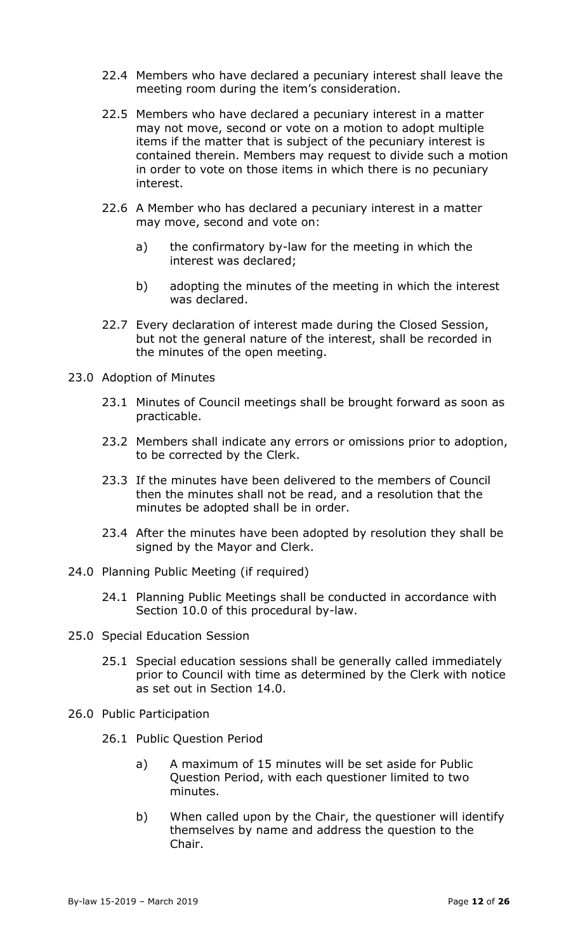- 22.4 Members who have declared a pecuniary interest shall leave the meeting room during the item's consideration.
- 22.5 Members who have declared a pecuniary interest in a matter may not move, second or vote on a motion to adopt multiple items if the matter that is subject of the pecuniary interest is contained therein. Members may request to divide such a motion in order to vote on those items in which there is no pecuniary interest.
- 22.6 A Member who has declared a pecuniary interest in a matter may move, second and vote on:
	- a) the confirmatory by-law for the meeting in which the interest was declared;
	- b) adopting the minutes of the meeting in which the interest was declared.
- 22.7 Every declaration of interest made during the Closed Session, but not the general nature of the interest, shall be recorded in the minutes of the open meeting.
- <span id="page-11-0"></span>23.0 Adoption of Minutes
	- 23.1 Minutes of Council meetings shall be brought forward as soon as practicable.
	- 23.2 Members shall indicate any errors or omissions prior to adoption, to be corrected by the Clerk.
	- 23.3 If the minutes have been delivered to the members of Council then the minutes shall not be read, and a resolution that the minutes be adopted shall be in order.
	- 23.4 After the minutes have been adopted by resolution they shall be signed by the Mayor and Clerk.
- <span id="page-11-1"></span>24.0 Planning Public Meeting (if required)
	- 24.1 Planning Public Meetings shall be conducted in accordance with Section 10.0 of this procedural by-law.
- <span id="page-11-2"></span>25.0 Special Education Session
	- 25.1 Special education sessions shall be generally called immediately prior to Council with time as determined by the Clerk with notice as set out in Section 14.0.
- <span id="page-11-3"></span>26.0 Public Participation
	- 26.1 Public Question Period
		- a) A maximum of 15 minutes will be set aside for Public Question Period, with each questioner limited to two minutes.
		- b) When called upon by the Chair, the questioner will identify themselves by name and address the question to the Chair.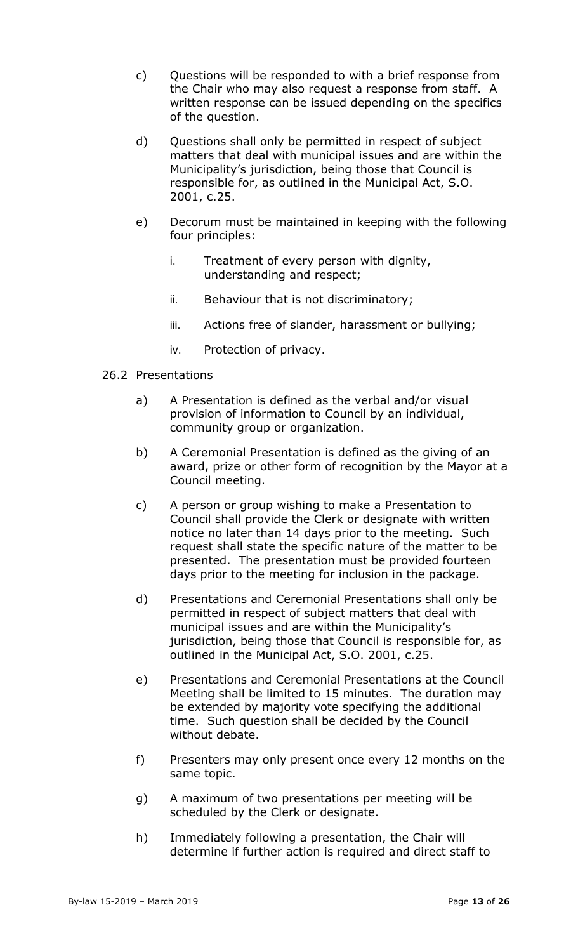- c) Questions will be responded to with a brief response from the Chair who may also request a response from staff. A written response can be issued depending on the specifics of the question.
- d) Questions shall only be permitted in respect of subject matters that deal with municipal issues and are within the Municipality's jurisdiction, being those that Council is responsible for, as outlined in the Municipal Act, S.O. 2001, c.25.
- e) Decorum must be maintained in keeping with the following four principles:
	- i. Treatment of every person with dignity, understanding and respect;
	- ii. Behaviour that is not discriminatory;
	- iii. Actions free of slander, harassment or bullying;
	- iv. Protection of privacy.

### 26.2 Presentations

- a) A Presentation is defined as the verbal and/or visual provision of information to Council by an individual, community group or organization.
- b) A Ceremonial Presentation is defined as the giving of an award, prize or other form of recognition by the Mayor at a Council meeting.
- c) A person or group wishing to make a Presentation to Council shall provide the Clerk or designate with written notice no later than 14 days prior to the meeting. Such request shall state the specific nature of the matter to be presented. The presentation must be provided fourteen days prior to the meeting for inclusion in the package.
- d) Presentations and Ceremonial Presentations shall only be permitted in respect of subject matters that deal with municipal issues and are within the Municipality's jurisdiction, being those that Council is responsible for, as outlined in the Municipal Act, S.O. 2001, c.25.
- e) Presentations and Ceremonial Presentations at the Council Meeting shall be limited to 15 minutes. The duration may be extended by majority vote specifying the additional time. Such question shall be decided by the Council without debate.
- f) Presenters may only present once every 12 months on the same topic.
- g) A maximum of two presentations per meeting will be scheduled by the Clerk or designate.
- h) Immediately following a presentation, the Chair will determine if further action is required and direct staff to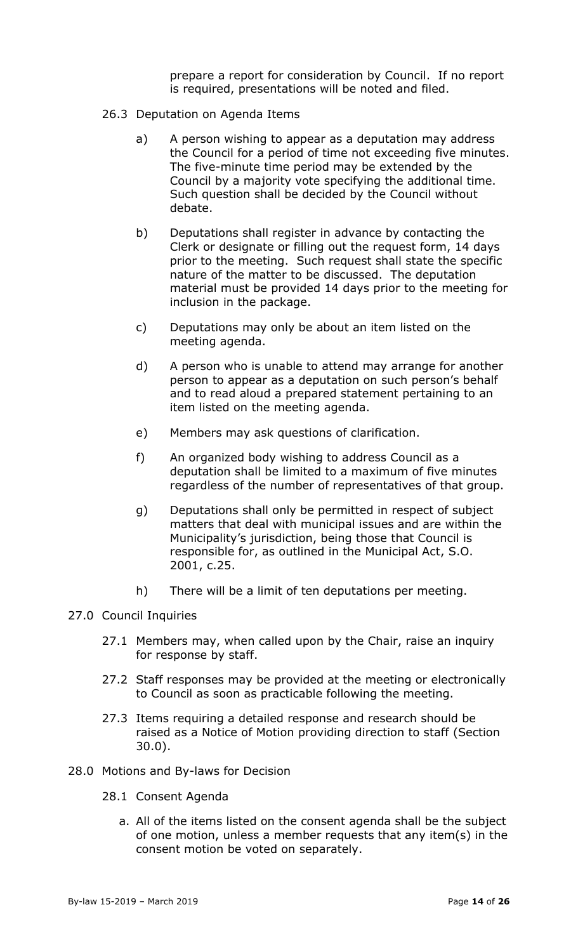prepare a report for consideration by Council. If no report is required, presentations will be noted and filed.

- 26.3 Deputation on Agenda Items
	- a) A person wishing to appear as a deputation may address the Council for a period of time not exceeding five minutes. The five-minute time period may be extended by the Council by a majority vote specifying the additional time. Such question shall be decided by the Council without debate.
	- b) Deputations shall register in advance by contacting the Clerk or designate or filling out the request form, 14 days prior to the meeting. Such request shall state the specific nature of the matter to be discussed. The deputation material must be provided 14 days prior to the meeting for inclusion in the package.
	- c) Deputations may only be about an item listed on the meeting agenda.
	- d) A person who is unable to attend may arrange for another person to appear as a deputation on such person's behalf and to read aloud a prepared statement pertaining to an item listed on the meeting agenda.
	- e) Members may ask questions of clarification.
	- f) An organized body wishing to address Council as a deputation shall be limited to a maximum of five minutes regardless of the number of representatives of that group.
	- g) Deputations shall only be permitted in respect of subject matters that deal with municipal issues and are within the Municipality's jurisdiction, being those that Council is responsible for, as outlined in the Municipal Act, S.O. 2001, c.25.
	- h) There will be a limit of ten deputations per meeting.

### <span id="page-13-0"></span>27.0 Council Inquiries

- 27.1 Members may, when called upon by the Chair, raise an inquiry for response by staff.
- 27.2 Staff responses may be provided at the meeting or electronically to Council as soon as practicable following the meeting.
- 27.3 Items requiring a detailed response and research should be raised as a Notice of Motion providing direction to staff (Section 30.0).
- <span id="page-13-1"></span>28.0 Motions and By-laws for Decision
	- 28.1 Consent Agenda
		- a. All of the items listed on the consent agenda shall be the subject of one motion, unless a member requests that any item(s) in the consent motion be voted on separately.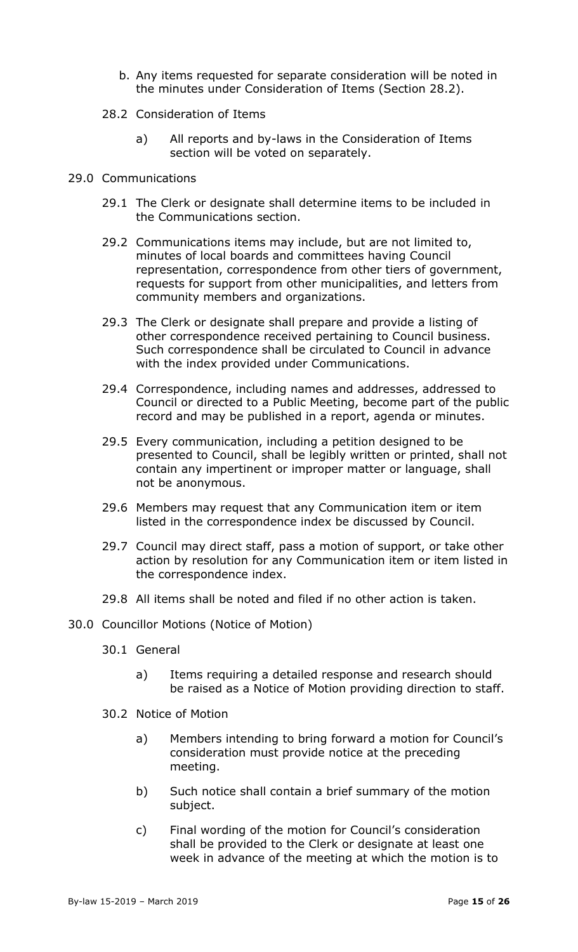- b. Any items requested for separate consideration will be noted in the minutes under Consideration of Items (Section 28.2).
- 28.2 Consideration of Items
	- a) All reports and by-laws in the Consideration of Items section will be voted on separately.
- <span id="page-14-0"></span>29.0 Communications
	- 29.1 The Clerk or designate shall determine items to be included in the Communications section.
	- 29.2 Communications items may include, but are not limited to, minutes of local boards and committees having Council representation, correspondence from other tiers of government, requests for support from other municipalities, and letters from community members and organizations.
	- 29.3 The Clerk or designate shall prepare and provide a listing of other correspondence received pertaining to Council business. Such correspondence shall be circulated to Council in advance with the index provided under Communications.
	- 29.4 Correspondence, including names and addresses, addressed to Council or directed to a Public Meeting, become part of the public record and may be published in a report, agenda or minutes.
	- 29.5 Every communication, including a petition designed to be presented to Council, shall be legibly written or printed, shall not contain any impertinent or improper matter or language, shall not be anonymous.
	- 29.6 Members may request that any Communication item or item listed in the correspondence index be discussed by Council.
	- 29.7 Council may direct staff, pass a motion of support, or take other action by resolution for any Communication item or item listed in the correspondence index.
	- 29.8 All items shall be noted and filed if no other action is taken.
- <span id="page-14-1"></span>30.0 Councillor Motions (Notice of Motion)
	- 30.1 General
		- a) Items requiring a detailed response and research should be raised as a Notice of Motion providing direction to staff.
	- 30.2 Notice of Motion
		- a) Members intending to bring forward a motion for Council's consideration must provide notice at the preceding meeting.
		- b) Such notice shall contain a brief summary of the motion subject.
		- c) Final wording of the motion for Council's consideration shall be provided to the Clerk or designate at least one week in advance of the meeting at which the motion is to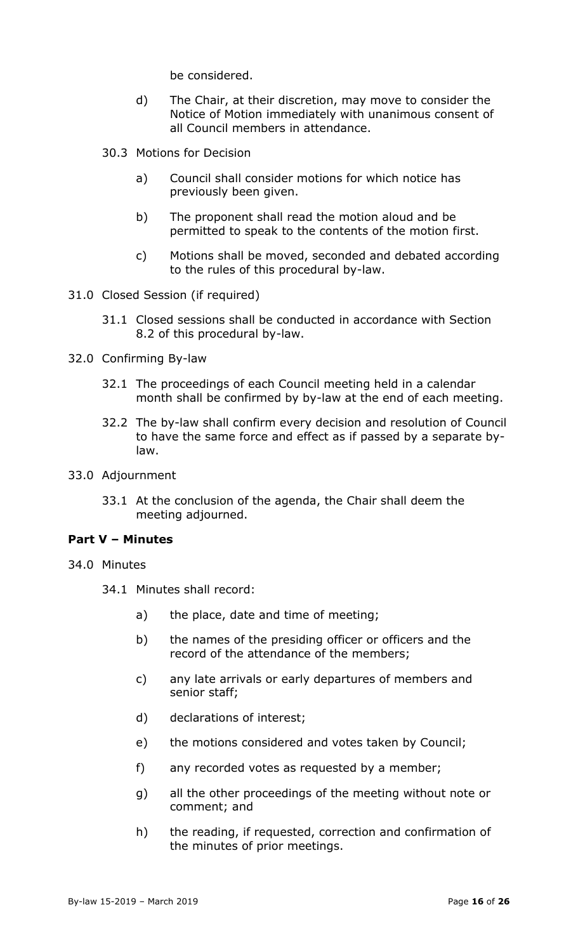be considered.

- d) The Chair, at their discretion, may move to consider the Notice of Motion immediately with unanimous consent of all Council members in attendance.
- 30.3 Motions for Decision
	- a) Council shall consider motions for which notice has previously been given.
	- b) The proponent shall read the motion aloud and be permitted to speak to the contents of the motion first.
	- c) Motions shall be moved, seconded and debated according to the rules of this procedural by-law.
- <span id="page-15-0"></span>31.0 Closed Session (if required)
	- 31.1 Closed sessions shall be conducted in accordance with Section 8.2 of this procedural by-law.
- <span id="page-15-1"></span>32.0 Confirming By-law
	- 32.1 The proceedings of each Council meeting held in a calendar month shall be confirmed by by-law at the end of each meeting.
	- 32.2 The by-law shall confirm every decision and resolution of Council to have the same force and effect as if passed by a separate bylaw.
- <span id="page-15-2"></span>33.0 Adjournment
	- 33.1 At the conclusion of the agenda, the Chair shall deem the meeting adjourned.

### <span id="page-15-3"></span>**Part V – Minutes**

- <span id="page-15-4"></span>34.0 Minutes
	- 34.1 Minutes shall record:
		- a) the place, date and time of meeting;
		- b) the names of the presiding officer or officers and the record of the attendance of the members;
		- c) any late arrivals or early departures of members and senior staff;
		- d) declarations of interest;
		- e) the motions considered and votes taken by Council;
		- f) any recorded votes as requested by a member;
		- g) all the other proceedings of the meeting without note or comment; and
		- h) the reading, if requested, correction and confirmation of the minutes of prior meetings.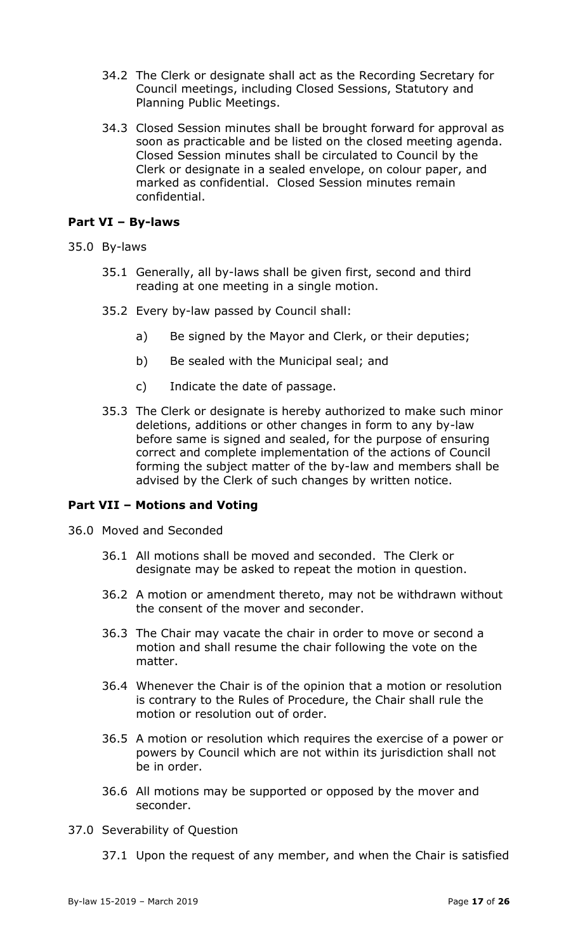- 34.2 The Clerk or designate shall act as the Recording Secretary for Council meetings, including Closed Sessions, Statutory and Planning Public Meetings.
- 34.3 Closed Session minutes shall be brought forward for approval as soon as practicable and be listed on the closed meeting agenda. Closed Session minutes shall be circulated to Council by the Clerk or designate in a sealed envelope, on colour paper, and marked as confidential. Closed Session minutes remain confidential.

## <span id="page-16-0"></span>**Part VI – By-laws**

- <span id="page-16-1"></span>35.0 By-laws
	- 35.1 Generally, all by-laws shall be given first, second and third reading at one meeting in a single motion.
	- 35.2 Every by-law passed by Council shall:
		- a) Be signed by the Mayor and Clerk, or their deputies;
		- b) Be sealed with the Municipal seal; and
		- c) Indicate the date of passage.
	- 35.3 The Clerk or designate is hereby authorized to make such minor deletions, additions or other changes in form to any by-law before same is signed and sealed, for the purpose of ensuring correct and complete implementation of the actions of Council forming the subject matter of the by-law and members shall be advised by the Clerk of such changes by written notice.

### <span id="page-16-2"></span>**Part VII – Motions and Voting**

- <span id="page-16-3"></span>36.0 Moved and Seconded
	- 36.1 All motions shall be moved and seconded. The Clerk or designate may be asked to repeat the motion in question.
	- 36.2 A motion or amendment thereto, may not be withdrawn without the consent of the mover and seconder.
	- 36.3 The Chair may vacate the chair in order to move or second a motion and shall resume the chair following the vote on the matter.
	- 36.4 Whenever the Chair is of the opinion that a motion or resolution is contrary to the Rules of Procedure, the Chair shall rule the motion or resolution out of order.
	- 36.5 A motion or resolution which requires the exercise of a power or powers by Council which are not within its jurisdiction shall not be in order.
	- 36.6 All motions may be supported or opposed by the mover and seconder.
- <span id="page-16-4"></span>37.0 Severability of Question
	- 37.1 Upon the request of any member, and when the Chair is satisfied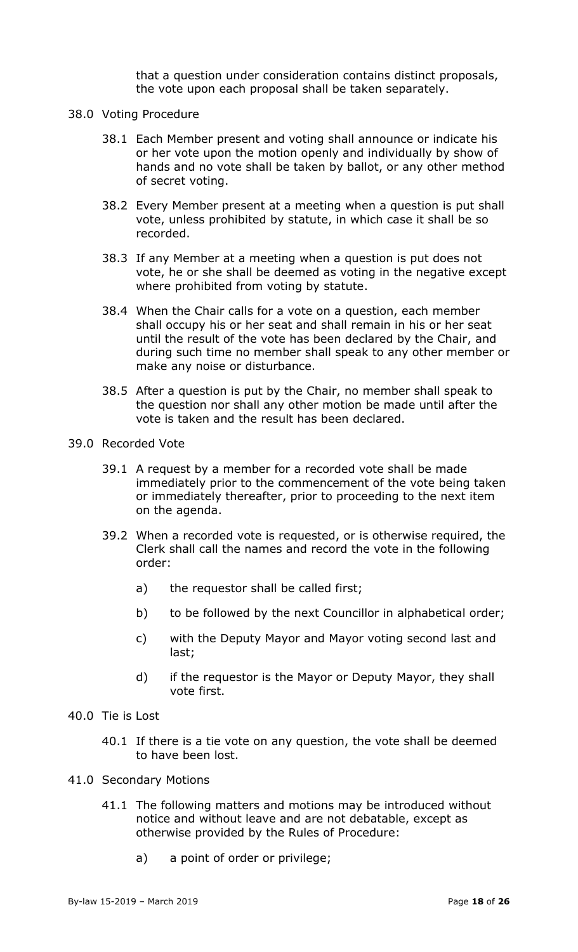that a question under consideration contains distinct proposals, the vote upon each proposal shall be taken separately.

- <span id="page-17-0"></span>38.0 Voting Procedure
	- 38.1 Each Member present and voting shall announce or indicate his or her vote upon the motion openly and individually by show of hands and no vote shall be taken by ballot, or any other method of secret voting.
	- 38.2 Every Member present at a meeting when a question is put shall vote, unless prohibited by statute, in which case it shall be so recorded.
	- 38.3 If any Member at a meeting when a question is put does not vote, he or she shall be deemed as voting in the negative except where prohibited from voting by statute.
	- 38.4 When the Chair calls for a vote on a question, each member shall occupy his or her seat and shall remain in his or her seat until the result of the vote has been declared by the Chair, and during such time no member shall speak to any other member or make any noise or disturbance.
	- 38.5 After a question is put by the Chair, no member shall speak to the question nor shall any other motion be made until after the vote is taken and the result has been declared.
- <span id="page-17-1"></span>39.0 Recorded Vote
	- 39.1 A request by a member for a recorded vote shall be made immediately prior to the commencement of the vote being taken or immediately thereafter, prior to proceeding to the next item on the agenda.
	- 39.2 When a recorded vote is requested, or is otherwise required, the Clerk shall call the names and record the vote in the following order:
		- a) the requestor shall be called first;
		- b) to be followed by the next Councillor in alphabetical order;
		- c) with the Deputy Mayor and Mayor voting second last and last;
		- d) if the requestor is the Mayor or Deputy Mayor, they shall vote first.
- <span id="page-17-2"></span>40.0 Tie is Lost
	- 40.1 If there is a tie vote on any question, the vote shall be deemed to have been lost.
- <span id="page-17-3"></span>41.0 Secondary Motions
	- 41.1 The following matters and motions may be introduced without notice and without leave and are not debatable, except as otherwise provided by the Rules of Procedure:
		- a) a point of order or privilege;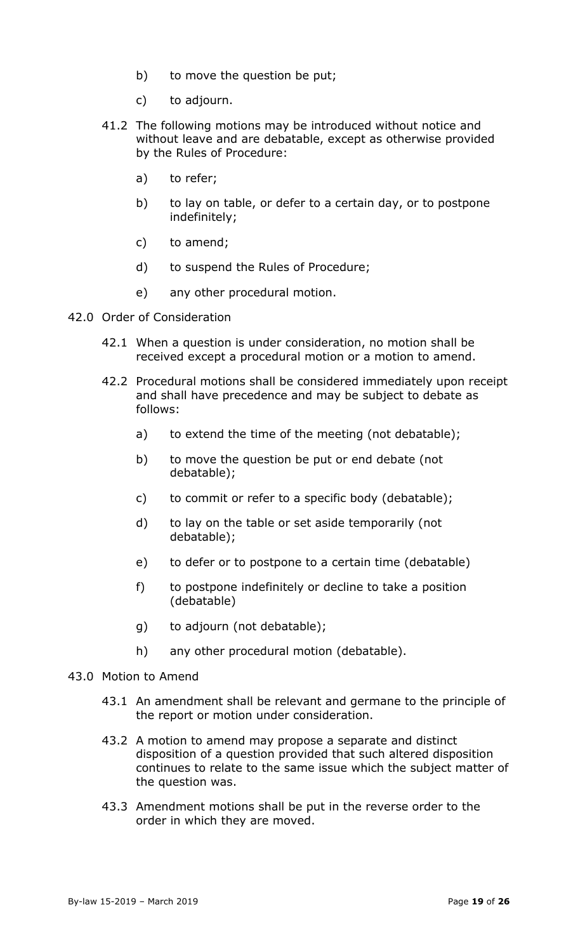- b) to move the question be put;
- c) to adjourn.
- 41.2 The following motions may be introduced without notice and without leave and are debatable, except as otherwise provided by the Rules of Procedure:
	- a) to refer;
	- b) to lay on table, or defer to a certain day, or to postpone indefinitely;
	- c) to amend;
	- d) to suspend the Rules of Procedure;
	- e) any other procedural motion.
- <span id="page-18-0"></span>42.0 Order of Consideration
	- 42.1 When a question is under consideration, no motion shall be received except a procedural motion or a motion to amend.
	- 42.2 Procedural motions shall be considered immediately upon receipt and shall have precedence and may be subject to debate as follows:
		- a) to extend the time of the meeting (not debatable);
		- b) to move the question be put or end debate (not debatable);
		- c) to commit or refer to a specific body (debatable);
		- d) to lay on the table or set aside temporarily (not debatable);
		- e) to defer or to postpone to a certain time (debatable)
		- f) to postpone indefinitely or decline to take a position (debatable)
		- g) to adjourn (not debatable);
		- h) any other procedural motion (debatable).
- <span id="page-18-1"></span>43.0 Motion to Amend
	- 43.1 An amendment shall be relevant and germane to the principle of the report or motion under consideration.
	- 43.2 A motion to amend may propose a separate and distinct disposition of a question provided that such altered disposition continues to relate to the same issue which the subject matter of the question was.
	- 43.3 Amendment motions shall be put in the reverse order to the order in which they are moved.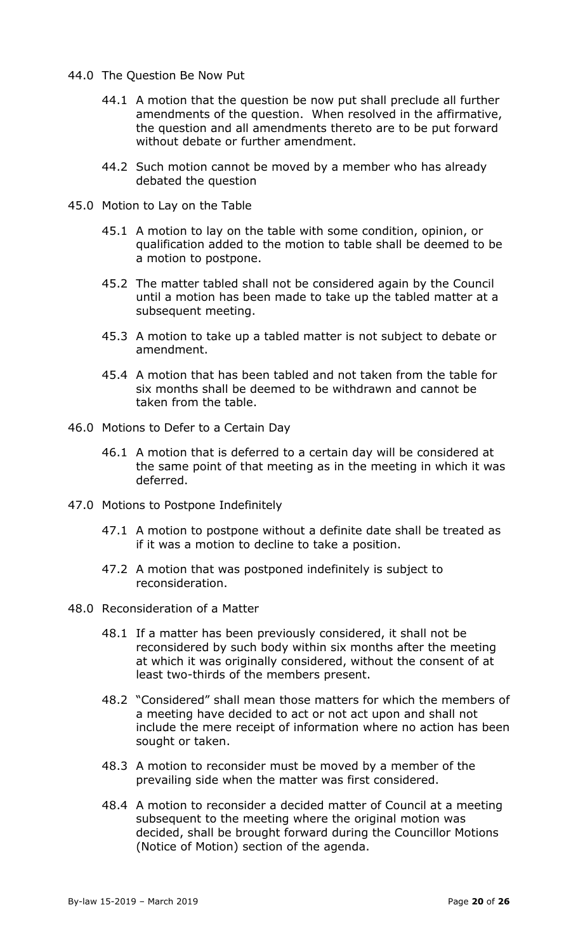- <span id="page-19-0"></span>44.0 The Question Be Now Put
	- 44.1 A motion that the question be now put shall preclude all further amendments of the question. When resolved in the affirmative, the question and all amendments thereto are to be put forward without debate or further amendment.
	- 44.2 Such motion cannot be moved by a member who has already debated the question
- <span id="page-19-1"></span>45.0 Motion to Lay on the Table
	- 45.1 A motion to lay on the table with some condition, opinion, or qualification added to the motion to table shall be deemed to be a motion to postpone.
	- 45.2 The matter tabled shall not be considered again by the Council until a motion has been made to take up the tabled matter at a subsequent meeting.
	- 45.3 A motion to take up a tabled matter is not subject to debate or amendment.
	- 45.4 A motion that has been tabled and not taken from the table for six months shall be deemed to be withdrawn and cannot be taken from the table.
- <span id="page-19-2"></span>46.0 Motions to Defer to a Certain Day
	- 46.1 A motion that is deferred to a certain day will be considered at the same point of that meeting as in the meeting in which it was deferred.
- <span id="page-19-3"></span>47.0 Motions to Postpone Indefinitely
	- 47.1 A motion to postpone without a definite date shall be treated as if it was a motion to decline to take a position.
	- 47.2 A motion that was postponed indefinitely is subject to reconsideration.
- <span id="page-19-4"></span>48.0 Reconsideration of a Matter
	- 48.1 If a matter has been previously considered, it shall not be reconsidered by such body within six months after the meeting at which it was originally considered, without the consent of at least two-thirds of the members present.
	- 48.2 "Considered" shall mean those matters for which the members of a meeting have decided to act or not act upon and shall not include the mere receipt of information where no action has been sought or taken.
	- 48.3 A motion to reconsider must be moved by a member of the prevailing side when the matter was first considered.
	- 48.4 A motion to reconsider a decided matter of Council at a meeting subsequent to the meeting where the original motion was decided, shall be brought forward during the Councillor Motions (Notice of Motion) section of the agenda.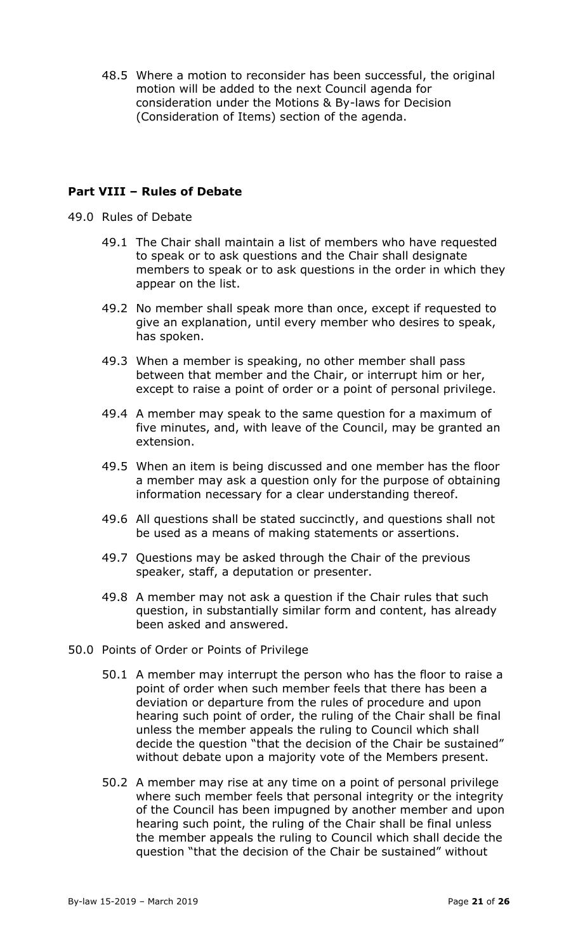48.5 Where a motion to reconsider has been successful, the original motion will be added to the next Council agenda for consideration under the Motions & By-laws for Decision (Consideration of Items) section of the agenda.

## <span id="page-20-0"></span>**Part VIII – Rules of Debate**

- <span id="page-20-1"></span>49.0 Rules of Debate
	- 49.1 The Chair shall maintain a list of members who have requested to speak or to ask questions and the Chair shall designate members to speak or to ask questions in the order in which they appear on the list.
	- 49.2 No member shall speak more than once, except if requested to give an explanation, until every member who desires to speak, has spoken.
	- 49.3 When a member is speaking, no other member shall pass between that member and the Chair, or interrupt him or her, except to raise a point of order or a point of personal privilege.
	- 49.4 A member may speak to the same question for a maximum of five minutes, and, with leave of the Council, may be granted an extension.
	- 49.5 When an item is being discussed and one member has the floor a member may ask a question only for the purpose of obtaining information necessary for a clear understanding thereof.
	- 49.6 All questions shall be stated succinctly, and questions shall not be used as a means of making statements or assertions.
	- 49.7 Questions may be asked through the Chair of the previous speaker, staff, a deputation or presenter.
	- 49.8 A member may not ask a question if the Chair rules that such question, in substantially similar form and content, has already been asked and answered.
- <span id="page-20-2"></span>50.0 Points of Order or Points of Privilege
	- 50.1 A member may interrupt the person who has the floor to raise a point of order when such member feels that there has been a deviation or departure from the rules of procedure and upon hearing such point of order, the ruling of the Chair shall be final unless the member appeals the ruling to Council which shall decide the question "that the decision of the Chair be sustained" without debate upon a majority vote of the Members present.
	- 50.2 A member may rise at any time on a point of personal privilege where such member feels that personal integrity or the integrity of the Council has been impugned by another member and upon hearing such point, the ruling of the Chair shall be final unless the member appeals the ruling to Council which shall decide the question "that the decision of the Chair be sustained" without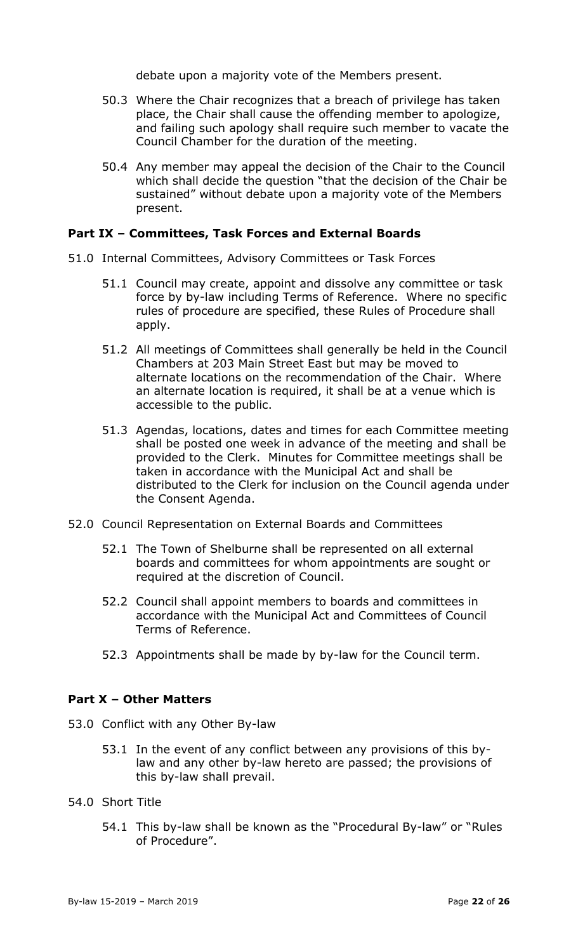debate upon a majority vote of the Members present.

- 50.3 Where the Chair recognizes that a breach of privilege has taken place, the Chair shall cause the offending member to apologize, and failing such apology shall require such member to vacate the Council Chamber for the duration of the meeting.
- 50.4 Any member may appeal the decision of the Chair to the Council which shall decide the question "that the decision of the Chair be sustained" without debate upon a majority vote of the Members present.

### <span id="page-21-0"></span>**Part IX – Committees, Task Forces and External Boards**

- <span id="page-21-1"></span>51.0 Internal Committees, Advisory Committees or Task Forces
	- 51.1 Council may create, appoint and dissolve any committee or task force by by-law including Terms of Reference. Where no specific rules of procedure are specified, these Rules of Procedure shall apply.
	- 51.2 All meetings of Committees shall generally be held in the Council Chambers at 203 Main Street East but may be moved to alternate locations on the recommendation of the Chair. Where an alternate location is required, it shall be at a venue which is accessible to the public.
	- 51.3 Agendas, locations, dates and times for each Committee meeting shall be posted one week in advance of the meeting and shall be provided to the Clerk. Minutes for Committee meetings shall be taken in accordance with the Municipal Act and shall be distributed to the Clerk for inclusion on the Council agenda under the Consent Agenda.
- <span id="page-21-2"></span>52.0 Council Representation on External Boards and Committees
	- 52.1 The Town of Shelburne shall be represented on all external boards and committees for whom appointments are sought or required at the discretion of Council.
	- 52.2 Council shall appoint members to boards and committees in accordance with the Municipal Act and Committees of Council Terms of Reference.
	- 52.3 Appointments shall be made by by-law for the Council term.

### <span id="page-21-3"></span>**Part X – Other Matters**

- <span id="page-21-4"></span>53.0 Conflict with any Other By-law
	- 53.1 In the event of any conflict between any provisions of this bylaw and any other by-law hereto are passed; the provisions of this by-law shall prevail.
- <span id="page-21-5"></span>54.0 Short Title
	- 54.1 This by-law shall be known as the "Procedural By-law" or "Rules of Procedure".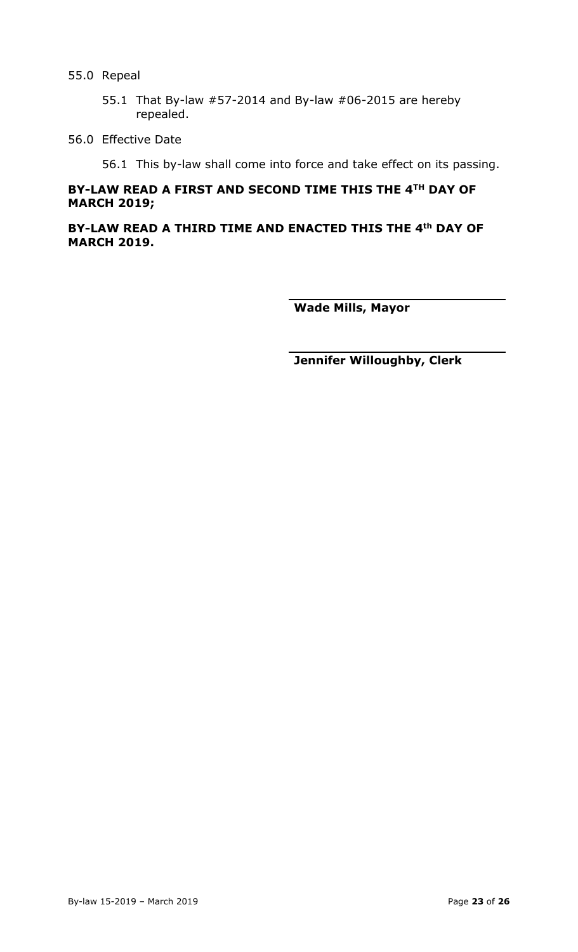#### <span id="page-22-0"></span>55.0 Repeal

- 55.1 That By-law #57-2014 and By-law #06-2015 are hereby repealed.
- <span id="page-22-1"></span>56.0 Effective Date

56.1 This by-law shall come into force and take effect on its passing.

# **BY-LAW READ A FIRST AND SECOND TIME THIS THE 4TH DAY OF MARCH 2019;**

**BY-LAW READ A THIRD TIME AND ENACTED THIS THE 4th DAY OF MARCH 2019.**

**Wade Mills, Mayor**

**Jennifer Willoughby, Clerk**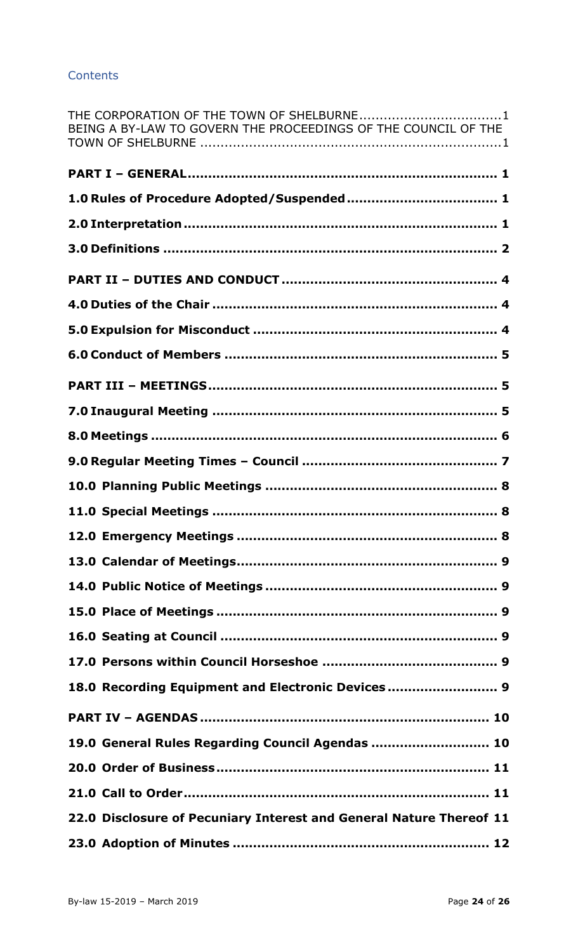## **Contents**

| THE CORPORATION OF THE TOWN OF SHELBURNE1<br>BEING A BY-LAW TO GOVERN THE PROCEEDINGS OF THE COUNCIL OF THE |
|-------------------------------------------------------------------------------------------------------------|
|                                                                                                             |
|                                                                                                             |
|                                                                                                             |
|                                                                                                             |
|                                                                                                             |
|                                                                                                             |
|                                                                                                             |
|                                                                                                             |
|                                                                                                             |
|                                                                                                             |
|                                                                                                             |
|                                                                                                             |
|                                                                                                             |
|                                                                                                             |
|                                                                                                             |
|                                                                                                             |
|                                                                                                             |
|                                                                                                             |
|                                                                                                             |
|                                                                                                             |
| 18.0 Recording Equipment and Electronic Devices  9                                                          |
|                                                                                                             |
| 19.0 General Rules Regarding Council Agendas  10                                                            |
|                                                                                                             |
|                                                                                                             |
| 22.0 Disclosure of Pecuniary Interest and General Nature Thereof 11                                         |
|                                                                                                             |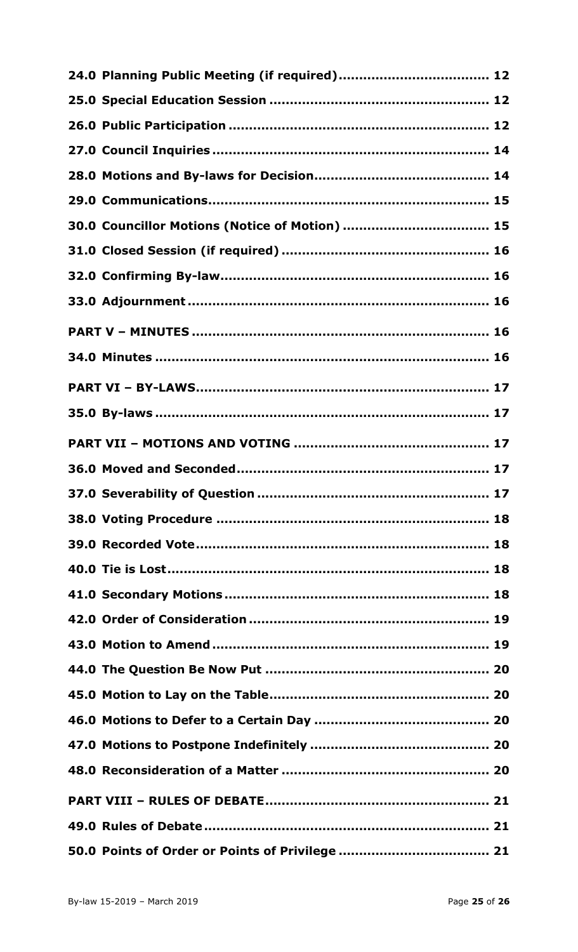| 30.0 Councillor Motions (Notice of Motion)  15 |  |
|------------------------------------------------|--|
|                                                |  |
|                                                |  |
|                                                |  |
|                                                |  |
|                                                |  |
|                                                |  |
|                                                |  |
|                                                |  |
|                                                |  |
|                                                |  |
|                                                |  |
|                                                |  |
|                                                |  |
|                                                |  |
|                                                |  |
|                                                |  |
|                                                |  |
|                                                |  |
|                                                |  |
|                                                |  |
|                                                |  |
|                                                |  |
|                                                |  |
|                                                |  |